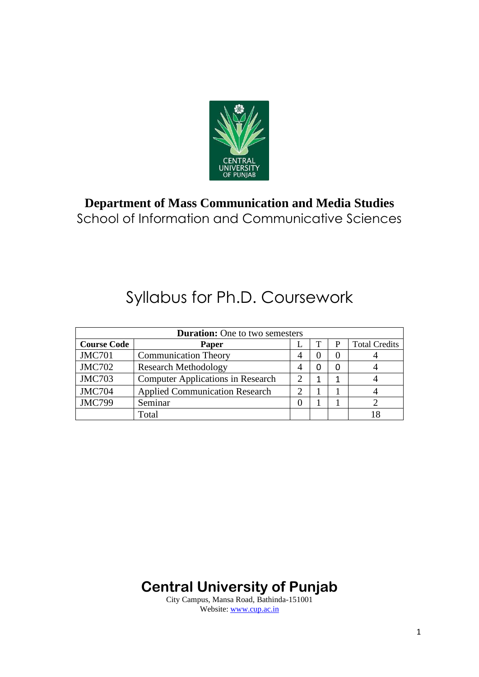

### **Department of Mass Communication and Media Studies** School of Information and Communicative Sciences

# Syllabus for Ph.D. Coursework

| <b>Duration:</b> One to two semesters |                                          |  |  |   |                      |
|---------------------------------------|------------------------------------------|--|--|---|----------------------|
| <b>Course Code</b>                    | Paper                                    |  |  | P | <b>Total Credits</b> |
| <b>JMC701</b>                         | <b>Communication Theory</b>              |  |  |   |                      |
| <b>JMC702</b>                         | <b>Research Methodology</b>              |  |  |   |                      |
| <b>JMC703</b>                         | <b>Computer Applications in Research</b> |  |  |   |                      |
| <b>JMC704</b>                         | <b>Applied Communication Research</b>    |  |  |   |                      |
| <b>JMC799</b>                         | Seminar                                  |  |  |   |                      |
|                                       | Total                                    |  |  |   | 18                   |

**Central University of Punjab**

City Campus, Mansa Road, Bathinda-151001 Website: [www.cup.ac.in](http://www.cup.ac.in/)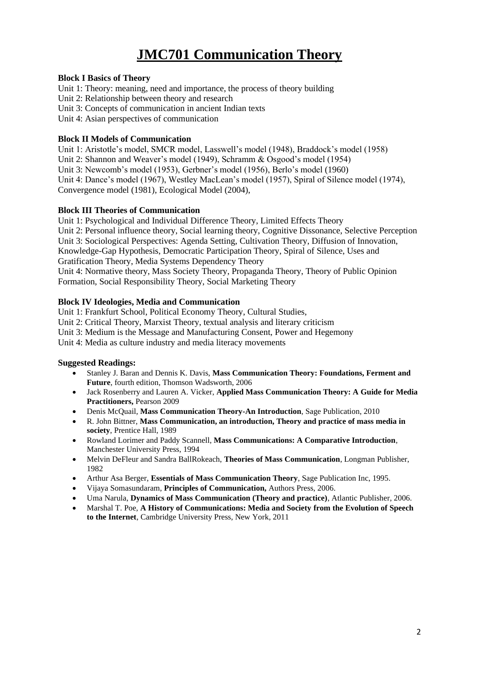## **JMC701 Communication Theory**

#### **Block I Basics of Theory**

Unit 1: Theory: meaning, need and importance, the process of theory building Unit 2: Relationship between theory and research Unit 3: Concepts of communication in ancient Indian texts

Unit 4: Asian perspectives of communication

#### **Block II Models of Communication**

Unit 1: Aristotle's model, SMCR model, Lasswell's model (1948), Braddock's model (1958) Unit 2: Shannon and Weaver's model (1949), Schramm & Osgood's model (1954) Unit 3: Newcomb's model (1953), Gerbner's model (1956), Berlo's model (1960) Unit 4: Dance's model (1967), Westley MacLean's model (1957), Spiral of Silence model (1974), Convergence model (1981), Ecological Model (2004),

#### **Block III Theories of Communication**

Unit 1: Psychological and Individual Difference Theory, Limited Effects Theory Unit 2: Personal influence theory, Social learning theory, Cognitive Dissonance, Selective Perception Unit 3: Sociological Perspectives: Agenda Setting, Cultivation Theory, Diffusion of Innovation, Knowledge-Gap Hypothesis, Democratic Participation Theory, Spiral of Silence, Uses and Gratification Theory, Media Systems Dependency Theory Unit 4: Normative theory, Mass Society Theory, Propaganda Theory, Theory of Public Opinion Formation, Social Responsibility Theory, Social Marketing Theory

#### **Block IV Ideologies, Media and Communication**

Unit 1: Frankfurt School, Political Economy Theory, Cultural Studies, Unit 2: Critical Theory, Marxist Theory, textual analysis and literary criticism Unit 3: Medium is the Message and Manufacturing Consent, Power and Hegemony

Unit 4: Media as culture industry and media literacy movements

#### **Suggested Readings:**

- Stanley J. Baran and Dennis K. Davis, **Mass Communication Theory: Foundations, Ferment and Future**, fourth edition, Thomson Wadsworth, 2006
- Jack Rosenberry and Lauren A. Vicker, **Applied Mass Communication Theory: A Guide for Media Practitioners,** Pearson 2009
- Denis McQuail, **Mass Communication Theory-An Introduction**, Sage Publication, 2010
- R. John Bittner, **Mass Communication, an introduction, Theory and practice of mass media in society**, Prentice Hall, 1989
- Rowland Lorimer and Paddy Scannell, **Mass Communications: A Comparative Introduction**, Manchester University Press, 1994
- Melvin DeFleur and Sandra BallRokeach, **Theories of Mass Communication**, Longman Publisher, 1982
- Arthur Asa Berger, **Essentials of Mass Communication Theory**, Sage Publication Inc, 1995.
- Vijaya Somasundaram, **Principles of Communication,** Authors Press, 2006.
- Uma Narula, **Dynamics of Mass Communication (Theory and practice)**, Atlantic Publisher, 2006.
- Marshal T. Poe, **A History of Communications: Media and Society from the Evolution of Speech to the Internet**, Cambridge University Press, New York, 2011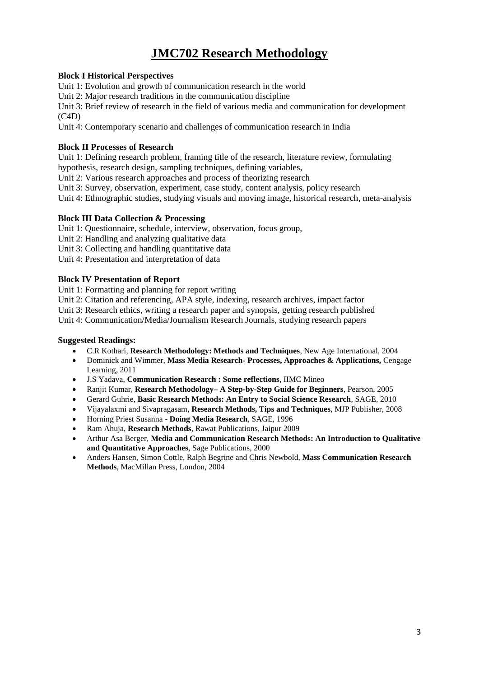## **JMC702 Research Methodology**

#### **Block I Historical Perspectives**

Unit 1: Evolution and growth of communication research in the world

Unit 2: Major research traditions in the communication discipline

Unit 3: Brief review of research in the field of various media and communication for development  $(C4D)$ 

Unit 4: Contemporary scenario and challenges of communication research in India

#### **Block II Processes of Research**

Unit 1: Defining research problem, framing title of the research, literature review, formulating

hypothesis, research design, sampling techniques, defining variables,

Unit 2: Various research approaches and process of theorizing research

Unit 3: Survey, observation, experiment, case study, content analysis, policy research

Unit 4: Ethnographic studies, studying visuals and moving image, historical research, meta-analysis

#### **Block III Data Collection & Processing**

Unit 1: Questionnaire, schedule, interview, observation, focus group,

Unit 2: Handling and analyzing qualitative data

Unit 3: Collecting and handling quantitative data

Unit 4: Presentation and interpretation of data

#### **Block IV Presentation of Report**

Unit 1: Formatting and planning for report writing

Unit 2: Citation and referencing, APA style, indexing, research archives, impact factor

Unit 3: Research ethics, writing a research paper and synopsis, getting research published

Unit 4: Communication/Media/Journalism Research Journals, studying research papers

#### **Suggested Readings:**

- C.R Kothari, **Research Methodology: Methods and Techniques**, New Age International, 2004
- Dominick and Wimmer, **Mass Media Research- Processes, Approaches & Applications,** Cengage Learning, 2011
- J.S Yadava, **Communication Research : Some reflections**, IIMC Mineo
- Ranjit Kumar, **Research Methodology– A Step-by-Step Guide for Beginners**, Pearson, 2005
- Gerard Guhrie, **Basic Research Methods: An Entry to Social Science Research**, SAGE, 2010
- Vijayalaxmi and Sivapragasam, **Research Methods, Tips and Techniques**, MJP Publisher, 2008
- Horning Priest Susanna **Doing Media Research**, SAGE, 1996
- Ram Ahuja, **Research Methods**, Rawat Publications, Jaipur 2009
- Arthur Asa Berger, **Media and Communication Research Methods: An Introduction to Qualitative and Quantitative Approaches**, Sage Publications, 2000
- Anders Hansen, Simon Cottle, Ralph Begrine and Chris Newbold, **Mass Communication Research Methods**, MacMillan Press, London, 2004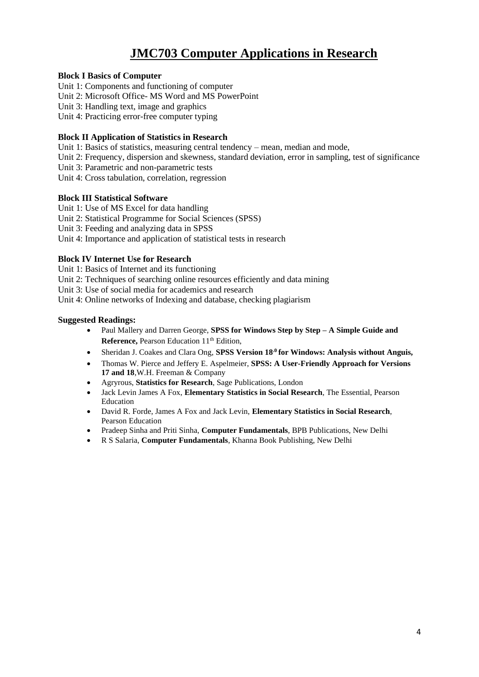## **JMC703 Computer Applications in Research**

#### **Block I Basics of Computer**

- Unit 1: Components and functioning of computer
- Unit 2: Microsoft Office- MS Word and MS PowerPoint
- Unit 3: Handling text, image and graphics

Unit 4: Practicing error-free computer typing

#### **Block II Application of Statistics in Research**

Unit 1: Basics of statistics, measuring central tendency – mean, median and mode,

- Unit 2: Frequency, dispersion and skewness, standard deviation, error in sampling, test of significance
- Unit 3: Parametric and non-parametric tests
- Unit 4: Cross tabulation, correlation, regression

#### **Block III Statistical Software**

- Unit 1: Use of MS Excel for data handling
- Unit 2: Statistical Programme for Social Sciences (SPSS)

Unit 3: Feeding and analyzing data in SPSS

Unit 4: Importance and application of statistical tests in research

#### **Block IV Internet Use for Research**

Unit 1: Basics of Internet and its functioning

- Unit 2: Techniques of searching online resources efficiently and data mining
- Unit 3: Use of social media for academics and research
- Unit 4: Online networks of Indexing and database, checking plagiarism

#### **Suggested Readings:**

- Paul Mallery and Darren George, **SPSS for Windows Step by Step – A Simple Guide and Reference, Pearson Education 11<sup>th</sup> Edition.**
- Sheridan J. Coakes and Clara Ong, **SPSS Version 18.0 for Windows: Analysis without Anguis,**
- [Thomas](http://www.flipkart.com/author/thomas-w-pierce) W. Pierce and Jeffery E. [Aspelmeier,](http://www.flipkart.com/author/jeffery-e-aspelmeier) **SPSS: A User-Friendly Approach for Versions 17 and 18**,W.H. Freeman & Company
- Agryrous, **Statistics for Research**, Sage Publications, London
- Jack Levin James A Fox, **Elementary Statistics in Social Research**, The Essential, Pearson Education
- David R. Forde, James A Fox and Jack Levin, **Elementary Statistics in Social Research**, Pearson Education
- Pradeep Sinha and Priti Sinha, **Computer Fundamentals**, BPB Publications, New Delhi
- R S Salaria, **Computer Fundamentals**, Khanna Book Publishing, New Delhi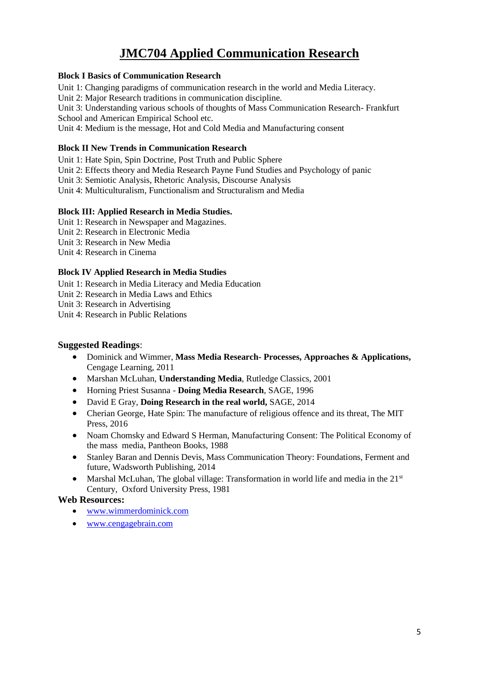## **JMC704 Applied Communication Research**

#### **Block I Basics of Communication Research**

Unit 1: Changing paradigms of communication research in the world and Media Literacy.

Unit 2: Major Research traditions in communication discipline.

Unit 3: Understanding various schools of thoughts of Mass Communication Research- Frankfurt School and American Empirical School etc.

Unit 4: Medium is the message, Hot and Cold Media and Manufacturing consent

#### **Block II New Trends in Communication Research**

Unit 1: Hate Spin, Spin Doctrine, Post Truth and Public Sphere

Unit 2: Effects theory and Media Research Payne Fund Studies and Psychology of panic

Unit 3: Semiotic Analysis, Rhetoric Analysis, Discourse Analysis

Unit 4: Multiculturalism, Functionalism and Structuralism and Media

#### **Block III: Applied Research in Media Studies.**

- Unit 1: Research in Newspaper and Magazines.
- Unit 2: Research in Electronic Media
- Unit 3: Research in New Media
- Unit 4: Research in Cinema

#### **Block IV Applied Research in Media Studies**

Unit 1: Research in Media Literacy and Media Education

Unit 2: Research in Media Laws and Ethics

Unit 3: Research in Advertising

Unit 4: Research in Public Relations

#### **Suggested Readings**:

- Dominick and Wimmer, **Mass Media Research- Processes, Approaches & Applications,**  Cengage Learning, 2011
- Marshan McLuhan, **Understanding Media**, Rutledge Classics, 2001
- Horning Priest Susanna **Doing Media Research**, SAGE, 1996
- David E Gray, **Doing Research in the real world,** SAGE, 2014
- Cherian George, Hate Spin: The manufacture of religious offence and its threat, The MIT Press, 2016
- Noam Chomsky and Edward S Herman, Manufacturing Consent: The Political Economy of the mass media, Pantheon Books, 1988
- Stanley Baran and Dennis Devis, Mass Communication Theory: Foundations, Ferment and future, Wadsworth Publishing, 2014
- Marshal McLuhan, The global village: Transformation in world life and media in the 21<sup>st</sup> Century, Oxford University Press, 1981

#### **Web Resources:**

- [www.wimmerdominick.com](http://www.wimmerdominick.com/)
- [www.cengagebrain.com](http://www.cengagebrain.com/)